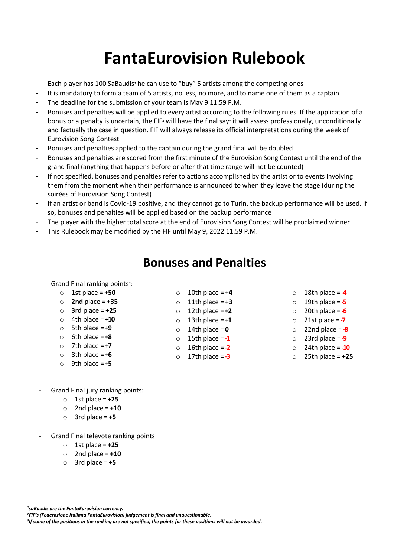# **FantaEurovision Rulebook**

- Each player has 100 SaBaudis*<sup>1</sup>* he can use to "buy" 5 artists among the competing ones
- It is mandatory to form a team of 5 artists, no less, no more, and to name one of them as a captain
- The deadline for the submission of your team is May 9 11.59 P.M.
- Bonuses and penalties will be applied to every artist according to the following rules. If the application of a bonus or a penalty is uncertain, the FIF*<sup>2</sup>* will have the final say: it will assess professionally, unconditionally and factually the case in question. FIF will always release its official interpretations during the week of Eurovision Song Contest
- Bonuses and penalties applied to the captain during the grand final will be doubled
- Bonuses and penalties are scored from the first minute of the Eurovision Song Contest until the end of the grand final (anything that happens before or after that time range will not be counted)
- If not specified, bonuses and penalties refer to actions accomplished by the artist or to events involving them from the moment when their performance is announced to when they leave the stage (during the soirées of Eurovision Song Contest)
- If an artist or band is Covid-19 positive, and they cannot go to Turin, the backup performance will be used. If so, bonuses and penalties will be applied based on the backup performance
- The player with the higher total score at the end of Eurovision Song Contest will be proclaimed winner
- This Rulebook may be modified by the FIF until May 9, 2022 11.59 P.M.

### **Bonuses and Penalties**

#### - Grand Final ranking points*<sup>3</sup>* :

- o **1st** place = **+50**
- o **2nd** place = **+35**
- o **3rd** place = **+25**
- $\circ$  4th place =  $+10$
- o 5th place = **+9**
- $\circ$  6th place =  $+8$
- $\circ$  7th place = **+7**
- 
- 
- o 10th place = **+4**  $\circ$  11th place =  $+3$
- $\circ$  12th place = **+2**
- $\circ$  13th place =  $+1$
- o 14th place = **0**
- o 15th place = **-1**
- o 16th place = **-2**
- o 17th place = **-3**
- $\circ$  18th place =  $\frac{4}{4}$
- $\circ$  19th place =  $-5$
- $\circ$  20th place =  $\div$
- o 21st place = **-7**
- o 22nd place = **-8**
- o 23rd place = **-9**
- o 24th place = **-10**
- o 25th place = **+25**

- Grand Final jury ranking points:
	- o 1st place = **+25**
	- $\circ$  2nd place =  $+10$
	- o 3rd place = **+5**
- Grand Final televote ranking points
	- o 1st place = **+25**
	- $\circ$  2nd place = **+10**
	- o 3rd place = **+5**

*1 saBaudis are the FantaEurovision currency. <sup>2</sup>FIF's (Federazione Italiana FantaEurovision) judgement is final and unquestionable. 3 If some of the positions in the ranking are not specified, the points for these positions will not be awarded.*

- 
- $\circ$  8th place =  $+6$
- $\circ$  9th place =  $+5$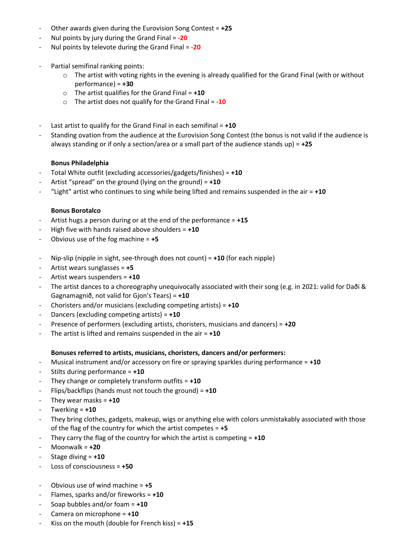- Other awards given during the Eurovision Song Contest = **+25**
- Nul points by jury during the Grand Final = **-20**
- Nul points by televote during the Grand Final = **-20**
- Partial semifinal ranking points:
	- $\circ$  The artist with voting rights in the evening is already qualified for the Grand Final (with or without performance) = **+30**
	- o The artist qualifies for the Grand Final = **+10**
	- o The artist does not qualify for the Grand Final = **-10**
- Last artist to qualify for the Grand Final in each semifinal = **+10**
- Standing ovation from the audience at the Eurovision Song Contest (the bonus is not valid if the audience is always standing or if only a section/area or a small part of the audience stands up) = **+25**

#### **Bonus Philadelphia**

- Total White outfit (excluding accessories/gadgets/finishes) = **+10**
- Artist "spread" on the ground (lying on the ground) = **+10**
- "Light" artist who continues to sing while being lifted and remains suspended in the air = **+10**

#### **Bonus Borotalco**

- Artist hugs a person during or at the end of the performance = **+15**
- High five with hands raised above shoulders = **+10**
- Obvious use of the fog machine = **+5**
- Nip-slip (nipple in sight, see-through does not count) = **+10** (for each nipple)
- Artist wears sunglasses = **+5**
- Artist wears suspenders = **+10**
- The artist dances to a choreography unequivocally associated with their song (e.g. in 2021: valid for Daði & Gagnamagnið, not valid for Gjon's Tears) = **+10**
- Choristers and/or musicians (excluding competing artists) = **+10**
- Dancers (excluding competing artists) = **+10**
- Presence of performers (excluding artists, choristers, musicians and dancers) = **+20**
- The artist is lifted and remains suspended in the air =  $+10$

#### **Bonuses referred to artists, musicians, choristers, dancers and/or performers:**

- Musical instrument and/or accessory on fire or spraying sparkles during performance = **+10**
- Stilts during performance = **+10**
- They change or completely transform outfits = **+10**
- Flips/backflips (hands must not touch the ground) = **+10**
- They wear masks  $= +10$
- Twerking = **+10**
- They bring clothes, gadgets, makeup, wigs or anything else with colors unmistakably associated with those of the flag of the country for which the artist competes = **+5**
- They carry the flag of the country for which the artist is competing  $= +10$
- Moonwalk = **+20**
- Stage diving = **+10**
- Loss of consciousness = **+50**
- Obvious use of wind machine = **+5**
- Flames, sparks and/or fireworks = **+10**
- Soap bubbles and/or foam = **+10**
- Camera on microphone = **+10**
- Kiss on the mouth (double for French kiss) =  $+15$